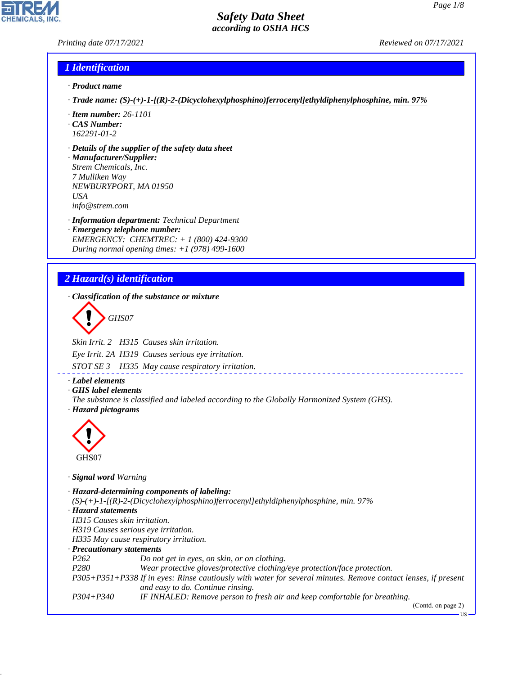#### *Printing date 07/17/2021 Reviewed on 07/17/2021*

#### *1 Identification*

- *· Product name*
- *· Trade name: (S)-(+)-1-[(R)-2-(Dicyclohexylphosphino)ferrocenyl]ethyldiphenylphosphine, min. 97%*
- *· Item number: 26-1101 · CAS Number:*
- *162291-01-2*
- *· Details of the supplier of the safety data sheet*
- *· Manufacturer/Supplier: Strem Chemicals, Inc. 7 Mulliken Way NEWBURYPORT, MA 01950 USA info@strem.com*
- *· Information department: Technical Department · Emergency telephone number: EMERGENCY: CHEMTREC: + 1 (800) 424-9300 During normal opening times: +1 (978) 499-1600*

# *2 Hazard(s) identification*

*· Classification of the substance or mixture*

d~*GHS07*

*Skin Irrit. 2 H315 Causes skin irritation.*

*Eye Irrit. 2A H319 Causes serious eye irritation.*

*STOT SE 3 H335 May cause respiratory irritation.*

- *· Label elements*
- *· GHS label elements*
- *The substance is classified and labeled according to the Globally Harmonized System (GHS). · Hazard pictograms*



44.1.1

*· Signal word Warning*

*· Hazard-determining components of labeling: (S)-(+)-1-[(R)-2-(Dicyclohexylphosphino)ferrocenyl]ethyldiphenylphosphine, min. 97% · Hazard statements H315 Causes skin irritation. H319 Causes serious eye irritation. H335 May cause respiratory irritation. · Precautionary statements P262 Do not get in eyes, on skin, or on clothing. P280 Wear protective gloves/protective clothing/eye protection/face protection. P305+P351+P338 If in eyes: Rinse cautiously with water for several minutes. Remove contact lenses, if present and easy to do. Continue rinsing. P304+P340 IF INHALED: Remove person to fresh air and keep comfortable for breathing.* (Contd. on page 2)

US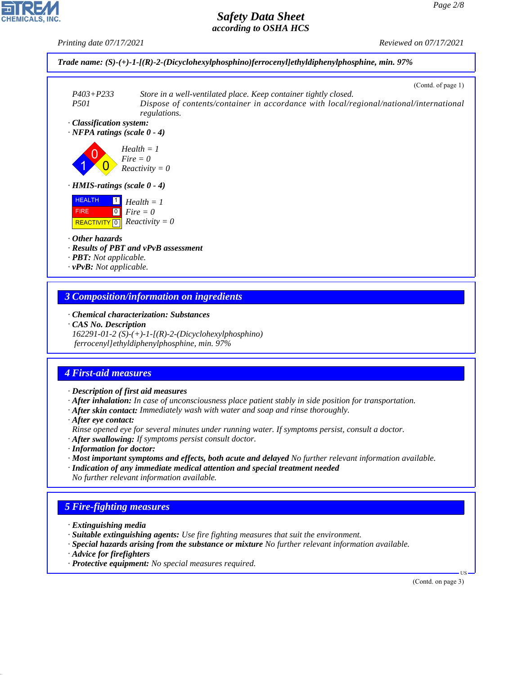*Printing date 07/17/2021 Reviewed on 07/17/2021*



#### *3 Composition/information on ingredients*

*· Chemical characterization: Substances*

*· CAS No. Description*

*162291-01-2 (S)-(+)-1-[(R)-2-(Dicyclohexylphosphino) ferrocenyl]ethyldiphenylphosphine, min. 97%*

# *4 First-aid measures*

- *· Description of first aid measures*
- *· After inhalation: In case of unconsciousness place patient stably in side position for transportation.*
- *· After skin contact: Immediately wash with water and soap and rinse thoroughly.*
- *· After eye contact:*
- *Rinse opened eye for several minutes under running water. If symptoms persist, consult a doctor.*
- *· After swallowing: If symptoms persist consult doctor.*
- *· Information for doctor:*
- *· Most important symptoms and effects, both acute and delayed No further relevant information available.*
- *· Indication of any immediate medical attention and special treatment needed No further relevant information available.*

# *5 Fire-fighting measures*

- *· Extinguishing media*
- *· Suitable extinguishing agents: Use fire fighting measures that suit the environment.*
- *· Special hazards arising from the substance or mixture No further relevant information available.*
- *· Advice for firefighters*

44.1.1

*· Protective equipment: No special measures required.*

(Contd. on page 3)

US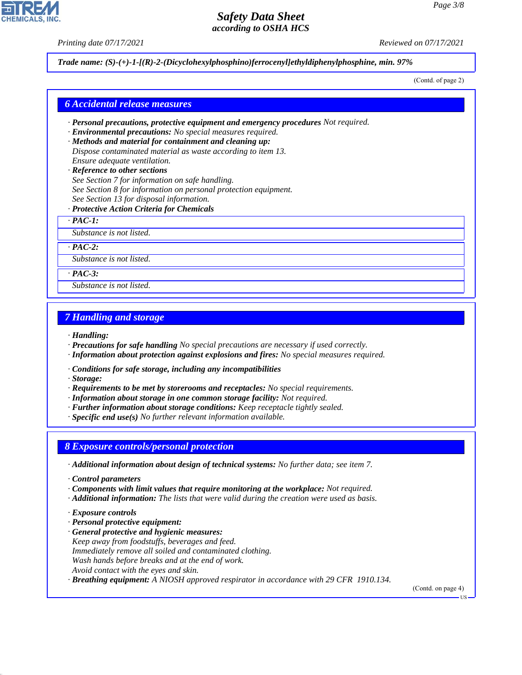*Printing date 07/17/2021 Reviewed on 07/17/2021*

*Trade name: (S)-(+)-1-[(R)-2-(Dicyclohexylphosphino)ferrocenyl]ethyldiphenylphosphine, min. 97%*

(Contd. of page 2)

#### *6 Accidental release measures*

- *· Personal precautions, protective equipment and emergency procedures Not required.*
- *· Environmental precautions: No special measures required.*
- *· Methods and material for containment and cleaning up: Dispose contaminated material as waste according to item 13. Ensure adequate ventilation.*
- *· Reference to other sections See Section 7 for information on safe handling. See Section 8 for information on personal protection equipment. See Section 13 for disposal information.*
- *· Protective Action Criteria for Chemicals*

*· PAC-1:*

*Substance is not listed.*

*· PAC-2:*

*Substance is not listed.*

*· PAC-3:*

*Substance is not listed.*

#### *7 Handling and storage*

*· Handling:*

- *· Precautions for safe handling No special precautions are necessary if used correctly.*
- *· Information about protection against explosions and fires: No special measures required.*
- *· Conditions for safe storage, including any incompatibilities*

*· Storage:*

- *· Requirements to be met by storerooms and receptacles: No special requirements.*
- *· Information about storage in one common storage facility: Not required.*
- *· Further information about storage conditions: Keep receptacle tightly sealed.*
- *· Specific end use(s) No further relevant information available.*

#### *8 Exposure controls/personal protection*

- *· Additional information about design of technical systems: No further data; see item 7.*
- *· Control parameters*
- *· Components with limit values that require monitoring at the workplace: Not required.*
- *· Additional information: The lists that were valid during the creation were used as basis.*
- *· Exposure controls*

44.1.1

- *· Personal protective equipment:*
- *· General protective and hygienic measures: Keep away from foodstuffs, beverages and feed. Immediately remove all soiled and contaminated clothing. Wash hands before breaks and at the end of work. Avoid contact with the eyes and skin.*
- *· Breathing equipment: A NIOSH approved respirator in accordance with 29 CFR 1910.134.*

(Contd. on page 4)



US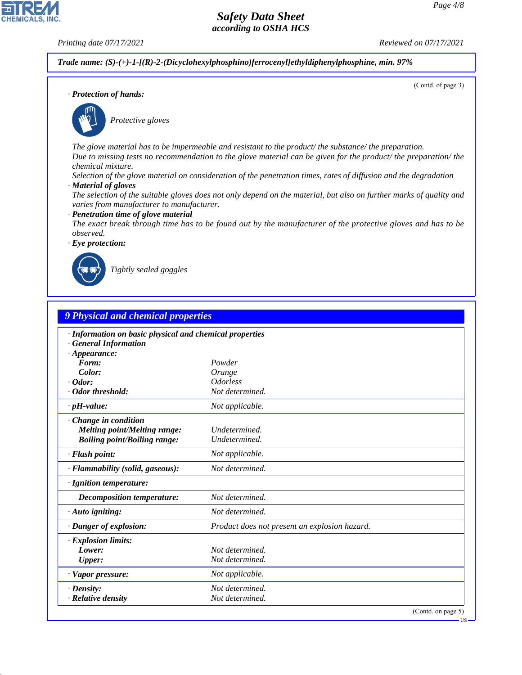(Contd. of page 3)

# *Safety Data Sheet according to OSHA HCS*

**CHEMICALS, INC** 

*Printing date 07/17/2021 Reviewed on 07/17/2021*

*Trade name: (S)-(+)-1-[(R)-2-(Dicyclohexylphosphino)ferrocenyl]ethyldiphenylphosphine, min. 97%*

*· Protection of hands:*



\_S*Protective gloves*

*The glove material has to be impermeable and resistant to the product/ the substance/ the preparation. Due to missing tests no recommendation to the glove material can be given for the product/ the preparation/ the chemical mixture.*

*Selection of the glove material on consideration of the penetration times, rates of diffusion and the degradation*

*· Material of gloves*

*The selection of the suitable gloves does not only depend on the material, but also on further marks of quality and varies from manufacturer to manufacturer.*

*· Penetration time of glove material*

*The exact break through time has to be found out by the manufacturer of the protective gloves and has to be observed.*

*· Eye protection:*



44.1.1

\_R*Tightly sealed goggles*

| · Information on basic physical and chemical properties<br><b>General Information</b><br>$\cdot$ Appearance:<br>Form:<br>Powder<br>Color:<br>Orange<br><i><b>Odorless</b></i><br>$\cdot$ Odor:<br>· Odor threshold:<br>Not determined.<br>$\cdot$ pH-value:<br>Not applicable.<br>· Change in condition<br><b>Melting point/Melting range:</b><br>Undetermined.<br><b>Boiling point/Boiling range:</b><br>Undetermined.<br>· Flash point:<br>Not applicable.<br>Not determined.<br>· Flammability (solid, gaseous):<br>· Ignition temperature:<br>Not determined.<br><b>Decomposition temperature:</b><br>Not determined.<br>$\cdot$ Auto igniting:<br>· Danger of explosion:<br>Product does not present an explosion hazard.<br><b>Explosion limits:</b><br>Lower:<br>Not determined.<br>Not determined.<br>Upper: |  |
|----------------------------------------------------------------------------------------------------------------------------------------------------------------------------------------------------------------------------------------------------------------------------------------------------------------------------------------------------------------------------------------------------------------------------------------------------------------------------------------------------------------------------------------------------------------------------------------------------------------------------------------------------------------------------------------------------------------------------------------------------------------------------------------------------------------------|--|
|                                                                                                                                                                                                                                                                                                                                                                                                                                                                                                                                                                                                                                                                                                                                                                                                                      |  |
|                                                                                                                                                                                                                                                                                                                                                                                                                                                                                                                                                                                                                                                                                                                                                                                                                      |  |
|                                                                                                                                                                                                                                                                                                                                                                                                                                                                                                                                                                                                                                                                                                                                                                                                                      |  |
|                                                                                                                                                                                                                                                                                                                                                                                                                                                                                                                                                                                                                                                                                                                                                                                                                      |  |
|                                                                                                                                                                                                                                                                                                                                                                                                                                                                                                                                                                                                                                                                                                                                                                                                                      |  |
|                                                                                                                                                                                                                                                                                                                                                                                                                                                                                                                                                                                                                                                                                                                                                                                                                      |  |
|                                                                                                                                                                                                                                                                                                                                                                                                                                                                                                                                                                                                                                                                                                                                                                                                                      |  |
|                                                                                                                                                                                                                                                                                                                                                                                                                                                                                                                                                                                                                                                                                                                                                                                                                      |  |
|                                                                                                                                                                                                                                                                                                                                                                                                                                                                                                                                                                                                                                                                                                                                                                                                                      |  |
|                                                                                                                                                                                                                                                                                                                                                                                                                                                                                                                                                                                                                                                                                                                                                                                                                      |  |
|                                                                                                                                                                                                                                                                                                                                                                                                                                                                                                                                                                                                                                                                                                                                                                                                                      |  |
|                                                                                                                                                                                                                                                                                                                                                                                                                                                                                                                                                                                                                                                                                                                                                                                                                      |  |
|                                                                                                                                                                                                                                                                                                                                                                                                                                                                                                                                                                                                                                                                                                                                                                                                                      |  |
|                                                                                                                                                                                                                                                                                                                                                                                                                                                                                                                                                                                                                                                                                                                                                                                                                      |  |
|                                                                                                                                                                                                                                                                                                                                                                                                                                                                                                                                                                                                                                                                                                                                                                                                                      |  |
|                                                                                                                                                                                                                                                                                                                                                                                                                                                                                                                                                                                                                                                                                                                                                                                                                      |  |
|                                                                                                                                                                                                                                                                                                                                                                                                                                                                                                                                                                                                                                                                                                                                                                                                                      |  |
| · Vapor pressure:<br>Not applicable.                                                                                                                                                                                                                                                                                                                                                                                                                                                                                                                                                                                                                                                                                                                                                                                 |  |
| Not determined.<br>$\cdot$ Density:                                                                                                                                                                                                                                                                                                                                                                                                                                                                                                                                                                                                                                                                                                                                                                                  |  |
| · Relative density<br>Not determined.                                                                                                                                                                                                                                                                                                                                                                                                                                                                                                                                                                                                                                                                                                                                                                                |  |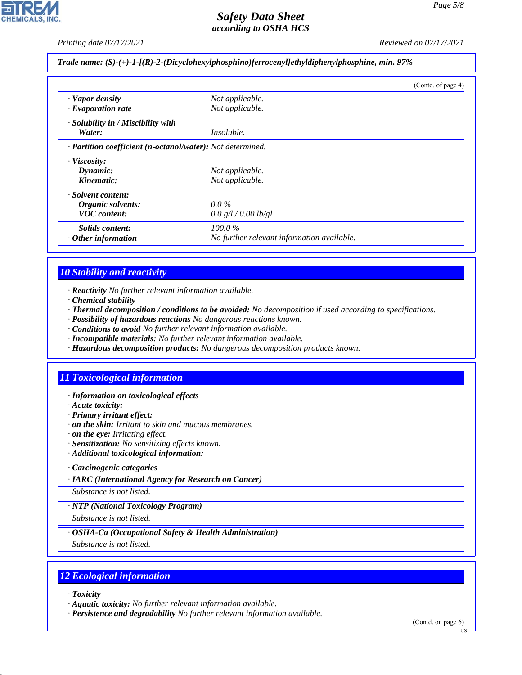*Printing date 07/17/2021 Reviewed on 07/17/2021*

*Trade name: (S)-(+)-1-[(R)-2-(Dicyclohexylphosphino)ferrocenyl]ethyldiphenylphosphine, min. 97%*

|                                                            |                                            | (Contd. of page 4) |
|------------------------------------------------------------|--------------------------------------------|--------------------|
| · Vapor density                                            | Not applicable.                            |                    |
| $\cdot$ Evaporation rate                                   | Not applicable.                            |                    |
| · Solubility in / Miscibility with                         |                                            |                    |
| Water:                                                     | <i>Insoluble.</i>                          |                    |
| · Partition coefficient (n-octanol/water): Not determined. |                                            |                    |
| · Viscosity:                                               |                                            |                    |
| Dynamic:                                                   | Not applicable.                            |                    |
| Kinematic:                                                 | Not applicable.                            |                    |
| · Solvent content:                                         |                                            |                    |
| Organic solvents:                                          | $0.0\%$                                    |                    |
| <b>VOC</b> content:                                        | 0.0 g/l / 0.00 lb/gl                       |                    |
| Solids content:                                            | $100.0\%$                                  |                    |
| $\cdot$ Other information                                  | No further relevant information available. |                    |

#### *10 Stability and reactivity*

- *· Reactivity No further relevant information available.*
- *· Chemical stability*
- *· Thermal decomposition / conditions to be avoided: No decomposition if used according to specifications.*
- *· Possibility of hazardous reactions No dangerous reactions known.*
- *· Conditions to avoid No further relevant information available.*
- *· Incompatible materials: No further relevant information available.*
- *· Hazardous decomposition products: No dangerous decomposition products known.*

#### *11 Toxicological information*

- *· Information on toxicological effects*
- *· Acute toxicity:*
- *· Primary irritant effect:*
- *· on the skin: Irritant to skin and mucous membranes.*
- *· on the eye: Irritating effect.*
- *· Sensitization: No sensitizing effects known.*
- *· Additional toxicological information:*

#### *· Carcinogenic categories*

*· IARC (International Agency for Research on Cancer)*

*Substance is not listed.*

*· NTP (National Toxicology Program)*

*Substance is not listed.*

*· OSHA-Ca (Occupational Safety & Health Administration)*

*Substance is not listed.*

#### *12 Ecological information*

*· Toxicity*

44.1.1

*· Aquatic toxicity: No further relevant information available.*

*· Persistence and degradability No further relevant information available.*

(Contd. on page 6)

US

*Page 5/8*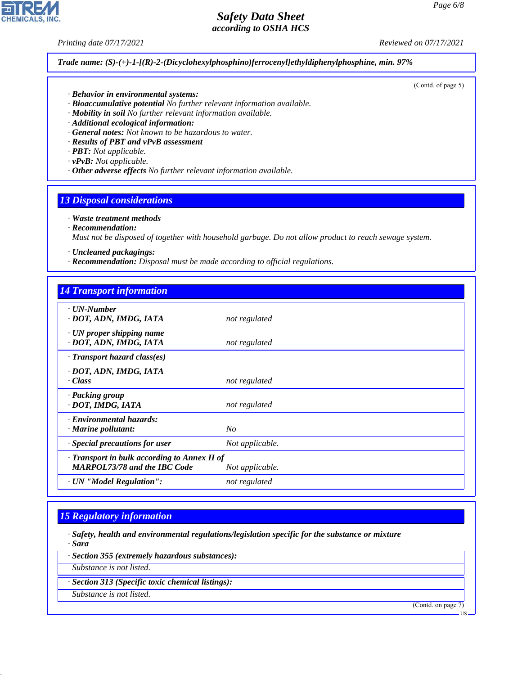*Printing date 07/17/2021 Reviewed on 07/17/2021*

*Trade name: (S)-(+)-1-[(R)-2-(Dicyclohexylphosphino)ferrocenyl]ethyldiphenylphosphine, min. 97%*

- *· Behavior in environmental systems:*
- *· Bioaccumulative potential No further relevant information available.*
- *· Mobility in soil No further relevant information available.*
- *· Additional ecological information:*
- *· General notes: Not known to be hazardous to water.*
- *· Results of PBT and vPvB assessment*
- *· PBT: Not applicable.*
- *· vPvB: Not applicable.*
- *· Other adverse effects No further relevant information available.*

#### *13 Disposal considerations*

- *· Waste treatment methods*
- *· Recommendation:*

*Must not be disposed of together with household garbage. Do not allow product to reach sewage system.*

- *· Uncleaned packagings:*
- *· Recommendation: Disposal must be made according to official regulations.*

| <b>14 Transport information</b>                                                     |                 |
|-------------------------------------------------------------------------------------|-----------------|
| $\cdot$ UN-Number<br>· DOT, ADN, IMDG, IATA                                         | not regulated   |
| $\cdot$ UN proper shipping name<br>· DOT, ADN, IMDG, IATA                           | not regulated   |
| $\cdot$ Transport hazard class(es)                                                  |                 |
| · DOT, ADN, IMDG, IATA<br>· Class                                                   | not regulated   |
| · Packing group<br>· DOT, IMDG, IATA                                                | not regulated   |
| · Environmental hazards:<br>$\cdot$ Marine pollutant:                               | No              |
| $\cdot$ Special precautions for user                                                | Not applicable. |
| · Transport in bulk according to Annex II of<br><b>MARPOL73/78 and the IBC Code</b> | Not applicable. |
| · UN "Model Regulation":                                                            | not regulated   |

#### *15 Regulatory information*

- *· Safety, health and environmental regulations/legislation specific for the substance or mixture · Sara*
- *· Section 355 (extremely hazardous substances):*
- *Substance is not listed.*
- *· Section 313 (Specific toxic chemical listings):*
- *Substance is not listed.*

44.1.1

(Contd. on page 7)



(Contd. of page 5)

US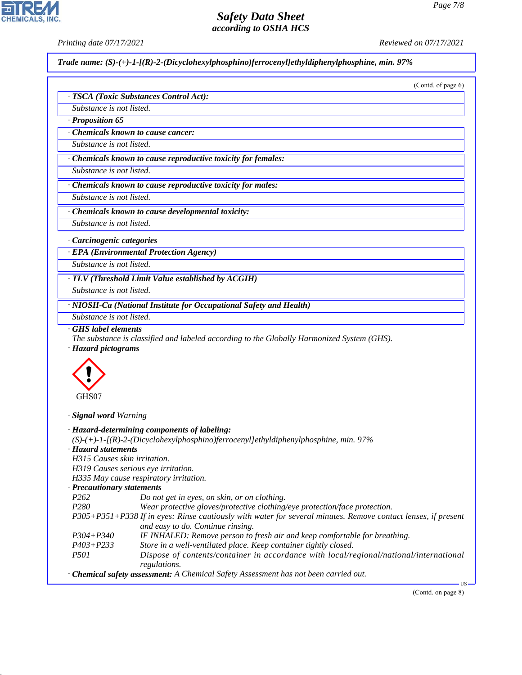*Printing date 07/17/2021 Reviewed on 07/17/2021*

*Trade name: (S)-(+)-1-[(R)-2-(Dicyclohexylphosphino)ferrocenyl]ethyldiphenylphosphine, min. 97%*

| Substance is not listed.                                                   | · TSCA (Toxic Substances Control Act):                                                                                                                                                         |
|----------------------------------------------------------------------------|------------------------------------------------------------------------------------------------------------------------------------------------------------------------------------------------|
|                                                                            |                                                                                                                                                                                                |
| · Proposition 65                                                           |                                                                                                                                                                                                |
| Chemicals known to cause cancer:                                           |                                                                                                                                                                                                |
|                                                                            |                                                                                                                                                                                                |
| Substance is not listed.                                                   |                                                                                                                                                                                                |
|                                                                            | · Chemicals known to cause reproductive toxicity for females:                                                                                                                                  |
| Substance is not listed.                                                   |                                                                                                                                                                                                |
|                                                                            | Chemicals known to cause reproductive toxicity for males:                                                                                                                                      |
| Substance is not listed.                                                   |                                                                                                                                                                                                |
|                                                                            | · Chemicals known to cause developmental toxicity:                                                                                                                                             |
| Substance is not listed.                                                   |                                                                                                                                                                                                |
| · Carcinogenic categories                                                  |                                                                                                                                                                                                |
|                                                                            | · EPA (Environmental Protection Agency)                                                                                                                                                        |
| Substance is not listed.                                                   |                                                                                                                                                                                                |
|                                                                            |                                                                                                                                                                                                |
|                                                                            | · TLV (Threshold Limit Value established by ACGIH)                                                                                                                                             |
| Substance is not listed.                                                   |                                                                                                                                                                                                |
|                                                                            | · NIOSH-Ca (National Institute for Occupational Safety and Health)                                                                                                                             |
|                                                                            |                                                                                                                                                                                                |
| Substance is not listed.<br>GHS label elements<br>· Hazard pictograms      | The substance is classified and labeled according to the Globally Harmonized System (GHS).                                                                                                     |
|                                                                            |                                                                                                                                                                                                |
| GHS07                                                                      |                                                                                                                                                                                                |
|                                                                            |                                                                                                                                                                                                |
|                                                                            | · Hazard-determining components of labeling:                                                                                                                                                   |
|                                                                            | $(S)-(+)$ -1-[(R)-2-(Dicyclohexylphosphino)ferrocenyl]ethyldiphenylphosphine, min. 97%                                                                                                         |
|                                                                            |                                                                                                                                                                                                |
| H315 Causes skin irritation.                                               |                                                                                                                                                                                                |
| H319 Causes serious eye irritation.                                        |                                                                                                                                                                                                |
|                                                                            | H335 May cause respiratory irritation.                                                                                                                                                         |
| P <sub>262</sub>                                                           | Do not get in eyes, on skin, or on clothing.                                                                                                                                                   |
| P <sub>280</sub>                                                           | Wear protective gloves/protective clothing/eye protection/face protection.                                                                                                                     |
|                                                                            |                                                                                                                                                                                                |
| · Signal word Warning<br>· Hazard statements<br>· Precautionary statements | P305+P351+P338 If in eyes: Rinse cautiously with water for several minutes. Remove contact lenses, if present<br>and easy to do. Continue rinsing.                                             |
| P304+P340<br>$P403 + P233$                                                 | IF INHALED: Remove person to fresh air and keep comfortable for breathing.                                                                                                                     |
| <i>P501</i>                                                                | Store in a well-ventilated place. Keep container tightly closed.                                                                                                                               |
|                                                                            | Dispose of contents/container in accordance with local/regional/national/international<br>regulations.<br>· Chemical safety assessment: A Chemical Safety Assessment has not been carried out. |



44.1.1